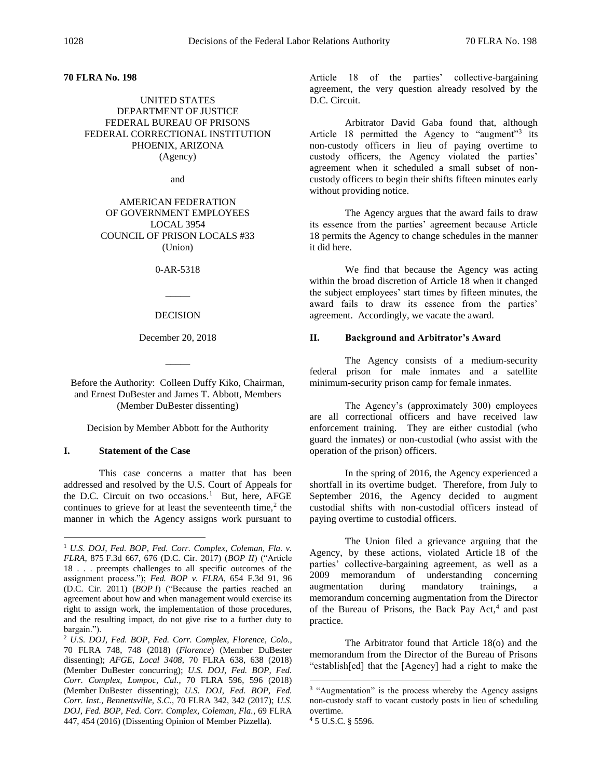# **70 FLRA No. 198**

# UNITED STATES DEPARTMENT OF JUSTICE FEDERAL BUREAU OF PRISONS FEDERAL CORRECTIONAL INSTITUTION PHOENIX, ARIZONA (Agency)

and

AMERICAN FEDERATION OF GOVERNMENT EMPLOYEES LOCAL 3954 COUNCIL OF PRISON LOCALS #33 (Union)

0-AR-5318

 $\overline{\phantom{a}}$ 

DECISION

December 20, 2018

 $\overline{\phantom{a}}$ 

Before the Authority: Colleen Duffy Kiko, Chairman, and Ernest DuBester and James T. Abbott, Members (Member DuBester dissenting)

Decision by Member Abbott for the Authority

### **I. Statement of the Case**

 $\overline{a}$ 

This case concerns a matter that has been addressed and resolved by the U.S. Court of Appeals for the D.C. Circuit on two occasions.<sup>1</sup> But, here, AFGE continues to grieve for at least the seventeenth time, $<sup>2</sup>$  the</sup> manner in which the Agency assigns work pursuant to

Article 18 of the parties' collective-bargaining agreement, the very question already resolved by the D.C. Circuit.

Arbitrator David Gaba found that, although Article 18 permitted the Agency to "augment"<sup>3</sup> its non-custody officers in lieu of paying overtime to custody officers, the Agency violated the parties' agreement when it scheduled a small subset of noncustody officers to begin their shifts fifteen minutes early without providing notice.

The Agency argues that the award fails to draw its essence from the parties' agreement because Article 18 permits the Agency to change schedules in the manner it did here.

We find that because the Agency was acting within the broad discretion of Article 18 when it changed the subject employees' start times by fifteen minutes, the award fails to draw its essence from the parties' agreement. Accordingly, we vacate the award.

#### **II. Background and Arbitrator's Award**

The Agency consists of a medium-security federal prison for male inmates and a satellite minimum-security prison camp for female inmates.

The Agency's (approximately 300) employees are all correctional officers and have received law enforcement training. They are either custodial (who guard the inmates) or non-custodial (who assist with the operation of the prison) officers.

In the spring of 2016, the Agency experienced a shortfall in its overtime budget. Therefore, from July to September 2016, the Agency decided to augment custodial shifts with non-custodial officers instead of paying overtime to custodial officers.

The Union filed a grievance arguing that the Agency, by these actions, violated Article 18 of the parties' collective-bargaining agreement, as well as a 2009 memorandum of understanding concerning augmentation during mandatory trainings, a memorandum concerning augmentation from the Director of the Bureau of Prisons, the Back Pay Act,<sup>4</sup> and past practice.

The Arbitrator found that Article 18(o) and the memorandum from the Director of the Bureau of Prisons "establish[ed] that the [Agency] had a right to make the

<sup>1</sup> *U.S. DOJ, Fed. BOP, Fed. Corr. Complex, Coleman, Fla. v. FLRA*, 875 F.3d 667, 676 (D.C. Cir. 2017) (*BOP II*) ("Article 18 . . . preempts challenges to all specific outcomes of the assignment process."); *Fed. BOP v. FLRA*, 654 F.3d 91, 96 (D.C. Cir. 2011) (*BOP I*) ("Because the parties reached an agreement about how and when management would exercise its right to assign work, the implementation of those procedures, and the resulting impact, do not give rise to a further duty to bargain.").

<sup>2</sup> *U.S. DOJ, Fed. BOP, Fed. Corr. Complex, Florence, Colo.*, 70 FLRA 748, 748 (2018) (*Florence*) (Member DuBester dissenting); *AFGE, Local 3408*, 70 FLRA 638, 638 (2018) (Member DuBester concurring); *U.S. DOJ, Fed. BOP, Fed. Corr. Complex, Lompoc, Cal.*, 70 FLRA 596, 596 (2018) (Member DuBester dissenting); *U.S. DOJ, Fed. BOP, Fed. Corr. Inst., Bennettsville, S.C.*, 70 FLRA 342, 342 (2017); *U.S. DOJ, Fed. BOP, Fed. Corr. Complex, Coleman, Fla.*, 69 FLRA 447, 454 (2016) (Dissenting Opinion of Member Pizzella).

<sup>&</sup>lt;sup>3</sup> "Augmentation" is the process whereby the Agency assigns non-custody staff to vacant custody posts in lieu of scheduling overtime.

<sup>4</sup> 5 U.S.C. § 5596.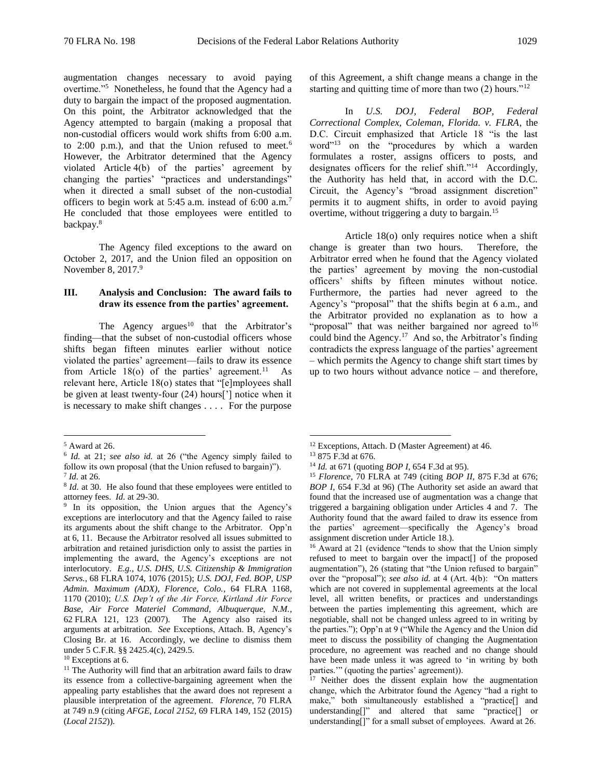augmentation changes necessary to avoid paying overtime."<sup>5</sup> Nonetheless, he found that the Agency had a duty to bargain the impact of the proposed augmentation. On this point, the Arbitrator acknowledged that the Agency attempted to bargain (making a proposal that non-custodial officers would work shifts from 6:00 a.m. to 2:00 p.m.), and that the Union refused to meet.<sup>6</sup> However, the Arbitrator determined that the Agency violated Article 4(b) of the parties' agreement by changing the parties' "practices and understandings" when it directed a small subset of the non-custodial officers to begin work at 5:45 a.m. instead of 6:00 a.m.<sup>7</sup> He concluded that those employees were entitled to backpay.<sup>8</sup>

The Agency filed exceptions to the award on October 2, 2017, and the Union filed an opposition on November 8, 2017.<sup>9</sup>

### **III. Analysis and Conclusion: The award fails to draw its essence from the parties' agreement.**

The Agency argues<sup>10</sup> that the Arbitrator's finding—that the subset of non-custodial officers whose shifts began fifteen minutes earlier without notice violated the parties' agreement—fails to draw its essence from Article  $18$ (o) of the parties' agreement.<sup>11</sup> As relevant here, Article 18(o) states that "[e]mployees shall be given at least twenty-four (24) hours['] notice when it is necessary to make shift changes . . . . For the purpose

 $\overline{a}$ 

of this Agreement, a shift change means a change in the starting and quitting time of more than two  $(2)$  hours."<sup>12</sup>

In *U.S. DOJ, Federal BOP, Federal Correctional Complex, Coleman, Florida. v. FLRA*, the D.C. Circuit emphasized that Article 18 "is the last word"<sup>13</sup> on the "procedures by which a warden formulates a roster, assigns officers to posts, and designates officers for the relief shift."<sup>14</sup> Accordingly, the Authority has held that, in accord with the D.C. Circuit, the Agency's "broad assignment discretion" permits it to augment shifts, in order to avoid paying overtime, without triggering a duty to bargain.<sup>15</sup>

Article 18(o) only requires notice when a shift change is greater than two hours. Therefore, the Arbitrator erred when he found that the Agency violated the parties' agreement by moving the non-custodial officers' shifts by fifteen minutes without notice. Furthermore, the parties had never agreed to the Agency's "proposal" that the shifts begin at 6 a.m., and the Arbitrator provided no explanation as to how a "proposal" that was neither bargained nor agreed to<sup>16</sup> could bind the Agency.<sup>17</sup> And so, the Arbitrator's finding contradicts the express language of the parties' agreement – which permits the Agency to change shift start times by up to two hours without advance notice – and therefore,

<sup>5</sup> Award at 26.

<sup>6</sup> *Id.* at 21; *see also id.* at 26 ("the Agency simply failed to follow its own proposal (that the Union refused to bargain)").

<sup>7</sup> *Id.* at 26.

<sup>&</sup>lt;sup>8</sup> *Id.* at 30. He also found that these employees were entitled to attorney fees. *Id.* at 29-30.

<sup>&</sup>lt;sup>9</sup> In its opposition, the Union argues that the Agency's exceptions are interlocutory and that the Agency failed to raise its arguments about the shift change to the Arbitrator. Opp'n at 6, 11. Because the Arbitrator resolved all issues submitted to arbitration and retained jurisdiction only to assist the parties in implementing the award, the Agency's exceptions are not interlocutory. *E.g., U.S. DHS, U.S. Citizenship & Immigration Servs.*, 68 FLRA 1074, 1076 (2015); *U.S. DOJ, Fed. BOP, USP Admin. Maximum (ADX), Florence, Colo.*, 64 FLRA 1168, 1170 (2010); *U.S. Dep't of the Air Force, Kirtland Air Force Base, Air Force Materiel Command, Albuquerque, N.M.*, 62 FLRA 121, 123 (2007). The Agency also raised its arguments at arbitration. *See* Exceptions, Attach. B, Agency's Closing Br. at 16. Accordingly, we decline to dismiss them under 5 C.F.R. §§ 2425.4(c), 2429.5.

<sup>&</sup>lt;sup>10</sup> Exceptions at 6.

<sup>&</sup>lt;sup>11</sup> The Authority will find that an arbitration award fails to draw its essence from a collective-bargaining agreement when the appealing party establishes that the award does not represent a plausible interpretation of the agreement. *Florence*, 70 FLRA at 749 n.9 (citing *AFGE, Local 2152*, 69 FLRA 149, 152 (2015) (*Local 2152*)).

<sup>12</sup> Exceptions, Attach. D (Master Agreement) at 46.

<sup>13</sup> 875 F.3d at 676.

<sup>14</sup> *Id.* at 671 (quoting *BOP I*, 654 F.3d at 95).

<sup>15</sup> *Florence*, 70 FLRA at 749 (citing *BOP II*, 875 F.3d at 676; *BOP I*, 654 F.3d at 96) (The Authority set aside an award that found that the increased use of augmentation was a change that triggered a bargaining obligation under Articles 4 and 7. The Authority found that the award failed to draw its essence from the parties' agreement—specifically the Agency's broad assignment discretion under Article 18.).

<sup>&</sup>lt;sup>16</sup> Award at 21 (evidence "tends to show that the Union simply refused to meet to bargain over the impact[] of the proposed augmentation"), 26 (stating that "the Union refused to bargain" over the "proposal"); *see also id.* at 4 (Art. 4(b): "On matters which are not covered in supplemental agreements at the local level, all written benefits, or practices and understandings between the parties implementing this agreement, which are negotiable, shall not be changed unless agreed to in writing by the parties."); Opp'n at 9 ("While the Agency and the Union did meet to discuss the possibility of changing the Augmentation procedure, no agreement was reached and no change should have been made unless it was agreed to 'in writing by both parties.'" (quoting the parties' agreement)).

<sup>&</sup>lt;sup>17</sup> Neither does the dissent explain how the augmentation change, which the Arbitrator found the Agency "had a right to make," both simultaneously established a "practice[] and understanding[]" and altered that same "practice[] or understanding[]" for a small subset of employees. Award at 26.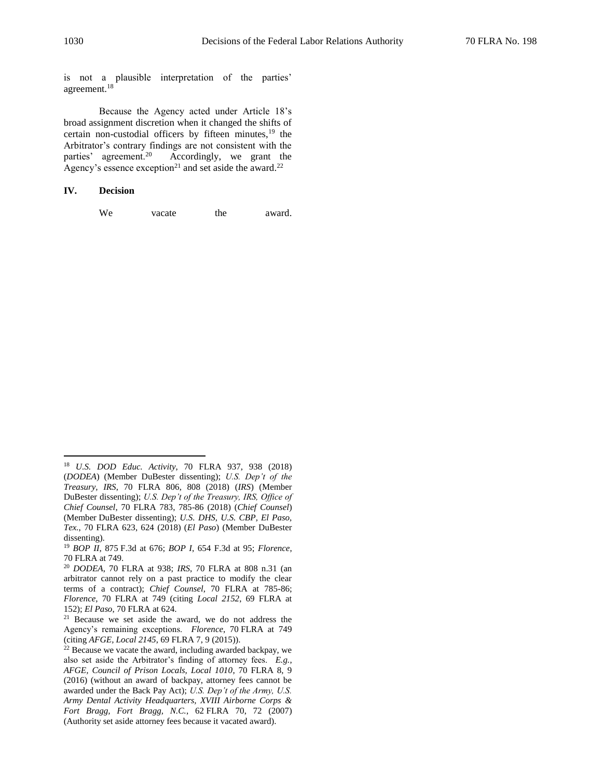is not a plausible interpretation of the parties' agreement.<sup>18</sup>

Because the Agency acted under Article 18's broad assignment discretion when it changed the shifts of certain non-custodial officers by fifteen minutes, $19$  the Arbitrator's contrary findings are not consistent with the parties' agreement.<sup>20</sup> Accordingly, we grant the Agency's essence exception<sup>21</sup> and set aside the award.<sup>22</sup>

### **IV. Decision**

 $\overline{a}$ 

We vacate the award.

<sup>18</sup> *U.S. DOD Educ. Activity*, 70 FLRA 937, 938 (2018) (*DODEA*) (Member DuBester dissenting); *U.S. Dep't of the Treasury, IRS*, 70 FLRA 806, 808 (2018) (*IRS*) (Member DuBester dissenting); *U.S. Dep't of the Treasury, IRS, Office of Chief Counsel*, 70 FLRA 783, 785-86 (2018) (*Chief Counsel*) (Member DuBester dissenting); *U.S. DHS, U.S. CBP, El Paso, Tex.*, 70 FLRA 623, 624 (2018) (*El Paso*) (Member DuBester dissenting).

<sup>19</sup> *BOP II*, 875 F.3d at 676; *BOP I*, 654 F.3d at 95; *Florence*, 70 FLRA at 749.

<sup>20</sup> *DODEA*, 70 FLRA at 938; *IRS*, 70 FLRA at 808 n.31 (an arbitrator cannot rely on a past practice to modify the clear terms of a contract); *Chief Counsel*, 70 FLRA at 785-86; *Florence*, 70 FLRA at 749 (citing *Local 2152*, 69 FLRA at 152); *El Paso*, 70 FLRA at 624.

<sup>21</sup> Because we set aside the award, we do not address the Agency's remaining exceptions. *Florence*, 70 FLRA at 749 (citing *AFGE, Local 2145*, 69 FLRA 7, 9 (2015)).

<sup>&</sup>lt;sup>22</sup> Because we vacate the award, including awarded backpay, we also set aside the Arbitrator's finding of attorney fees. *E.g.*, *AFGE, Council of Prison Locals, Local 1010*, 70 FLRA 8, 9 (2016) (without an award of backpay, attorney fees cannot be awarded under the Back Pay Act); *U.S. Dep't of the Army, U.S. Army Dental Activity Headquarters, XVIII Airborne Corps & Fort Bragg, Fort Bragg, N.C.*, 62 FLRA 70, 72 (2007) (Authority set aside attorney fees because it vacated award).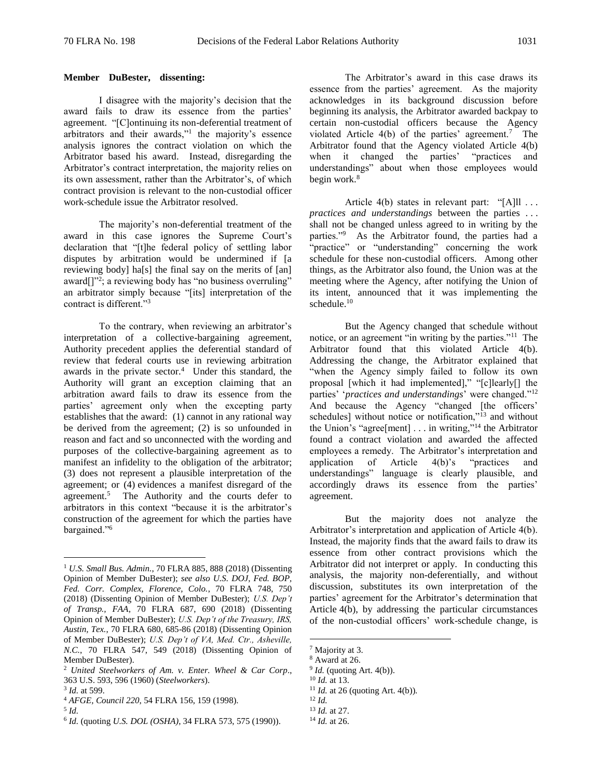# **Member DuBester, dissenting:**

I disagree with the majority's decision that the award fails to draw its essence from the parties' agreement. "[C]ontinuing its non-deferential treatment of arbitrators and their awards,"<sup>1</sup> the majority's essence analysis ignores the contract violation on which the Arbitrator based his award. Instead, disregarding the Arbitrator's contract interpretation, the majority relies on its own assessment, rather than the Arbitrator's, of which contract provision is relevant to the non-custodial officer work-schedule issue the Arbitrator resolved.

The majority's non-deferential treatment of the award in this case ignores the Supreme Court's declaration that "[t]he federal policy of settling labor disputes by arbitration would be undermined if [a reviewing body] ha[s] the final say on the merits of [an] award[]"<sup>2</sup>; a reviewing body has "no business overruling" an arbitrator simply because "[its] interpretation of the contract is different."<sup>3</sup>

To the contrary, when reviewing an arbitrator's interpretation of a collective-bargaining agreement, Authority precedent applies the deferential standard of review that federal courts use in reviewing arbitration awards in the private sector.<sup>4</sup> Under this standard, the Authority will grant an exception claiming that an arbitration award fails to draw its essence from the parties' agreement only when the excepting party establishes that the award: (1) cannot in any rational way be derived from the agreement; (2) is so unfounded in reason and fact and so unconnected with the wording and purposes of the collective-bargaining agreement as to manifest an infidelity to the obligation of the arbitrator; (3) does not represent a plausible interpretation of the agreement; or (4) evidences a manifest disregard of the agreement.<sup>5</sup> The Authority and the courts defer to arbitrators in this context "because it is the arbitrator's construction of the agreement for which the parties have bargained."<sup>6</sup>

 $\overline{a}$ 

The Arbitrator's award in this case draws its essence from the parties' agreement. As the majority acknowledges in its background discussion before beginning its analysis, the Arbitrator awarded backpay to certain non-custodial officers because the Agency violated Article  $4(b)$  of the parties' agreement.<sup>7</sup> The Arbitrator found that the Agency violated Article 4(b)<br>when it changed the parties' "practices and when it changed the parties' understandings" about when those employees would begin work.<sup>8</sup>

Article 4(b) states in relevant part: "[A]ll ... *practices and understandings* between the parties . . . shall not be changed unless agreed to in writing by the parties."<sup>9</sup> As the Arbitrator found, the parties had a "practice" or "understanding" concerning the work schedule for these non-custodial officers. Among other things, as the Arbitrator also found, the Union was at the meeting where the Agency, after notifying the Union of its intent, announced that it was implementing the schedule.<sup>10</sup>

But the Agency changed that schedule without notice, or an agreement "in writing by the parties."<sup>11</sup> The Arbitrator found that this violated Article 4(b). Addressing the change, the Arbitrator explained that "when the Agency simply failed to follow its own proposal [which it had implemented]," "[c]learly[] the parties' '*practices and understandings*' were changed."<sup>12</sup> And because the Agency "changed [the officers' schedules] without notice or notification,"<sup>13</sup> and without the Union's "agree[ment]  $\dots$  in writing,"<sup>14</sup> the Arbitrator found a contract violation and awarded the affected employees a remedy. The Arbitrator's interpretation and application of Article  $4(b)$ 's "practices and application of Article 4(b)'s "practices and understandings" language is clearly plausible, and accordingly draws its essence from the parties' agreement.

But the majority does not analyze the Arbitrator's interpretation and application of Article 4(b). Instead, the majority finds that the award fails to draw its essence from other contract provisions which the Arbitrator did not interpret or apply. In conducting this analysis, the majority non-deferentially, and without discussion, substitutes its own interpretation of the parties' agreement for the Arbitrator's determination that Article 4(b), by addressing the particular circumstances of the non-custodial officers' work-schedule change, is

<sup>1</sup> *U.S. Small Bus. Admin.*, 70 FLRA 885, 888 (2018) (Dissenting Opinion of Member DuBester); *see also U.S. DOJ, Fed. BOP, Fed. Corr. Complex, Florence, Colo.*, 70 FLRA 748, 750 (2018) (Dissenting Opinion of Member DuBester); *U.S. Dep't of Transp., FAA*, 70 FLRA 687, 690 (2018) (Dissenting Opinion of Member DuBester); *U.S. Dep't of the Treasury, IRS, Austin, Tex.*, 70 FLRA 680, 685-86 (2018) (Dissenting Opinion of Member DuBester); *U.S. Dep't of VA, Med. Ctr., Asheville, N.C.*, 70 FLRA 547, 549 (2018) (Dissenting Opinion of Member DuBester).

<sup>2</sup> *United Steelworkers of Am. v. Enter. Wheel & Car Corp*., 363 U.S. 593, 596 (1960) (*Steelworkers*).

<sup>3</sup> *Id.* at 599.

<sup>4</sup> *AFGE, Council 220*, 54 FLRA 156, 159 (1998).

<sup>5</sup> *Id.*

<sup>6</sup> *Id.* (quoting *U.S. DOL (OSHA)*, 34 FLRA 573, 575 (1990)).

<sup>7</sup> Majority at 3.

<sup>8</sup> Award at 26.

 $9$  *Id.* (quoting Art. 4(b)).

<sup>10</sup> *Id.* at 13.

<sup>&</sup>lt;sup>11</sup> *Id.* at 26 (quoting Art. 4(b)). <sup>12</sup> *Id.*

<sup>13</sup> *Id.* at 27.

<sup>14</sup> *Id.* at 26.